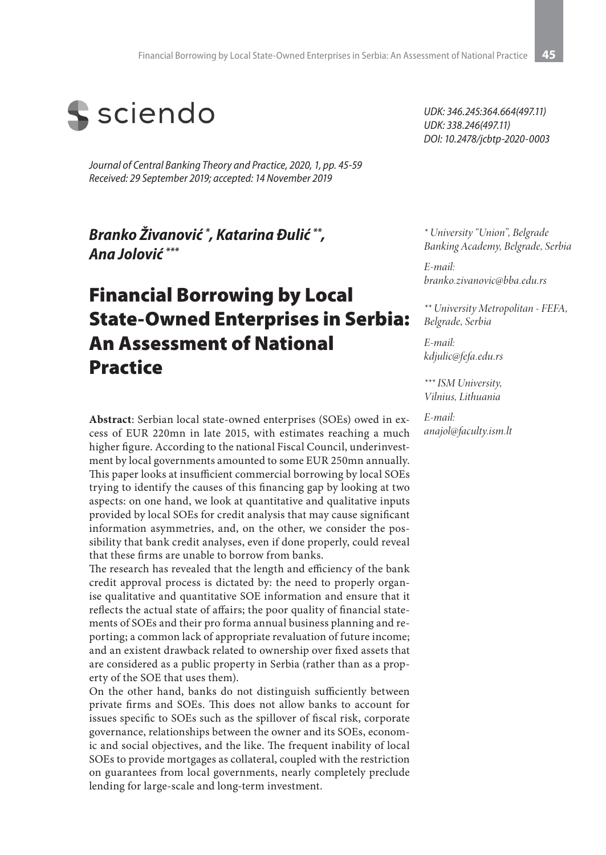

*Journal of Central Banking Theory and Practice, 2020, 1, pp. 45-59 Received: 29 September 2019; accepted: 14 November 2019*

*Branko Živanović \* , Katarina Đulić \*\*, Ana Jolović \*\*\**

# Financial Borrowing by Local State-Owned Enterprises in Serbia: An Assessment of National **Practice**

**Abstract**: Serbian local state-owned enterprises (SOEs) owed in excess of EUR 220mn in late 2015, with estimates reaching a much higher figure. According to the national Fiscal Council, underinvestment by local governments amounted to some EUR 250mn annually. This paper looks at insufficient commercial borrowing by local SOEs trying to identify the causes of this financing gap by looking at two aspects: on one hand, we look at quantitative and qualitative inputs provided by local SOEs for credit analysis that may cause significant information asymmetries, and, on the other, we consider the possibility that bank credit analyses, even if done properly, could reveal that these firms are unable to borrow from banks.

The research has revealed that the length and efficiency of the bank credit approval process is dictated by: the need to properly organise qualitative and quantitative SOE information and ensure that it reflects the actual state of affairs; the poor quality of financial statements of SOEs and their pro forma annual business planning and reporting; a common lack of appropriate revaluation of future income; and an existent drawback related to ownership over fixed assets that are considered as a public property in Serbia (rather than as a property of the SOE that uses them).

On the other hand, banks do not distinguish sufficiently between private firms and SOEs. This does not allow banks to account for issues specific to SOEs such as the spillover of fiscal risk, corporate governance, relationships between the owner and its SOEs, economic and social objectives, and the like. The frequent inability of local SOEs to provide mortgages as collateral, coupled with the restriction on guarantees from local governments, nearly completely preclude lending for large-scale and long-term investment.

*UDK: 346.245:364.664(497.11) UDK: 338.246(497.11) DOI: 10.2478/jcbtp-2020-0003*

*\* University "Union", Belgrade Banking Academy, Belgrade, Serbia* 

*E-mail: branko.zivanovic@bba.edu.rs*

*\*\* University Metropolitan - FEFA, Belgrade, Serbia* 

*E-mail: kdjulic@fefa.edu.rs*

*\*\*\* ISM University, Vilnius, Lithuania* 

*E-mail: anajol@faculty.ism.lt*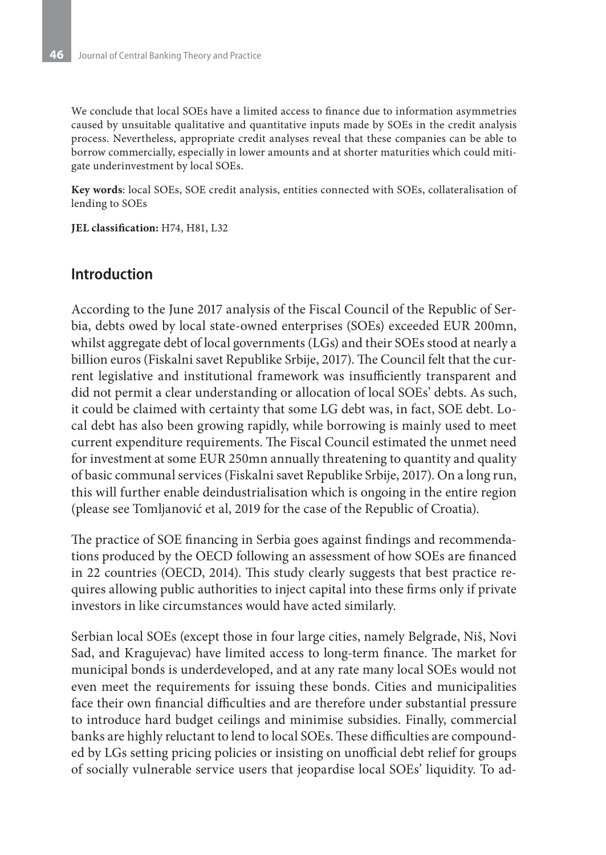We conclude that local SOEs have a limited access to finance due to information asymmetries caused by unsuitable qualitative and quantitative inputs made by SOEs in the credit analysis process. Nevertheless, appropriate credit analyses reveal that these companies can be able to borrow commercially, especially in lower amounts and at shorter maturities which could mitigate underinvestment by local SOEs.

**Key words**: local SOEs, SOE credit analysis, entities connected with SOEs, collateralisation of lending to SOEs

**JEL classification:** H74, H81, L32

#### **Introduction**

According to the June 2017 analysis of the Fiscal Council of the Republic of Serbia, debts owed by local state-owned enterprises (SOEs) exceeded EUR 200mn, whilst aggregate debt of local governments (LGs) and their SOEs stood at nearly a billion euros (Fiskalni savet Republike Srbije, 2017). The Council felt that the current legislative and institutional framework was insufficiently transparent and did not permit a clear understanding or allocation of local SOEs' debts. As such, it could be claimed with certainty that some LG debt was, in fact, SOE debt. Local debt has also been growing rapidly, while borrowing is mainly used to meet current expenditure requirements. The Fiscal Council estimated the unmet need for investment at some EUR 250mn annually threatening to quantity and quality of basic communal services (Fiskalni savet Republike Srbije, 2017). On a long run, this will further enable deindustrialisation which is ongoing in the entire region (please see Tomljanović et al, 2019 for the case of the Republic of Croatia).

The practice of SOE financing in Serbia goes against findings and recommendations produced by the OECD following an assessment of how SOEs are financed in 22 countries (OECD, 2014). This study clearly suggests that best practice requires allowing public authorities to inject capital into these firms only if private investors in like circumstances would have acted similarly.

Serbian local SOEs (except those in four large cities, namely Belgrade, Niš, Novi Sad, and Kragujevac) have limited access to long-term finance. The market for municipal bonds is underdeveloped, and at any rate many local SOEs would not even meet the requirements for issuing these bonds. Cities and municipalities face their own financial difficulties and are therefore under substantial pressure to introduce hard budget ceilings and minimise subsidies. Finally, commercial banks are highly reluctant to lend to local SOEs. These difficulties are compounded by LGs setting pricing policies or insisting on unofficial debt relief for groups of socially vulnerable service users that jeopardise local SOEs' liquidity. To ad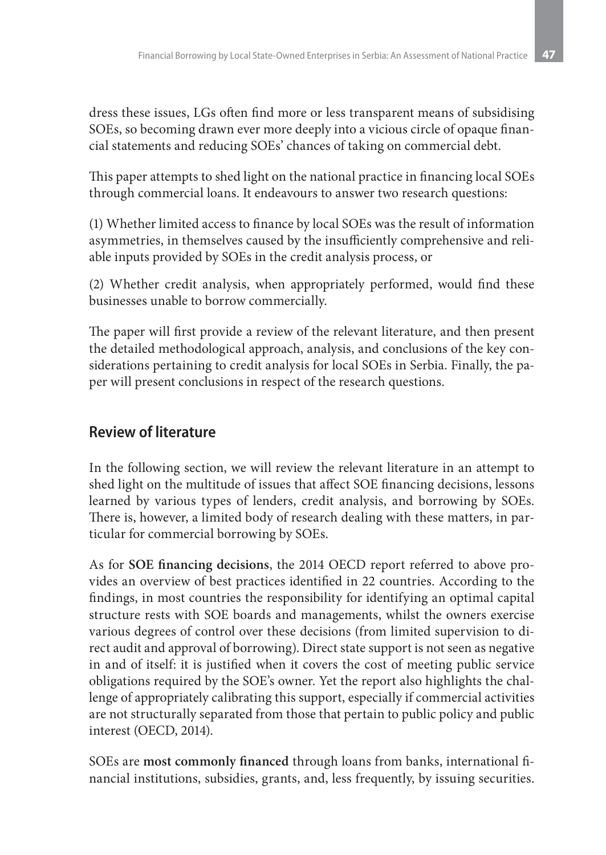dress these issues, LGs often find more or less transparent means of subsidising SOEs, so becoming drawn ever more deeply into a vicious circle of opaque financial statements and reducing SOEs' chances of taking on commercial debt.

This paper attempts to shed light on the national practice in financing local SOEs through commercial loans. It endeavours to answer two research questions:

(1) Whether limited access to finance by local SOEs was the result of information asymmetries, in themselves caused by the insufficiently comprehensive and reliable inputs provided by SOEs in the credit analysis process, or

(2) Whether credit analysis, when appropriately performed, would find these businesses unable to borrow commercially.

The paper will first provide a review of the relevant literature, and then present the detailed methodological approach, analysis, and conclusions of the key considerations pertaining to credit analysis for local SOEs in Serbia. Finally, the paper will present conclusions in respect of the research questions.

## **Review of literature**

In the following section, we will review the relevant literature in an attempt to shed light on the multitude of issues that affect SOE financing decisions, lessons learned by various types of lenders, credit analysis, and borrowing by SOEs. There is, however, a limited body of research dealing with these matters, in particular for commercial borrowing by SOEs.

As for **SOE financing decisions**, the 2014 OECD report referred to above provides an overview of best practices identified in 22 countries. According to the findings, in most countries the responsibility for identifying an optimal capital structure rests with SOE boards and managements, whilst the owners exercise various degrees of control over these decisions (from limited supervision to direct audit and approval of borrowing). Direct state support is not seen as negative in and of itself: it is justified when it covers the cost of meeting public service obligations required by the SOE's owner. Yet the report also highlights the challenge of appropriately calibrating this support, especially if commercial activities are not structurally separated from those that pertain to public policy and public interest (OECD, 2014).

SOEs are **most commonly financed** through loans from banks, international financial institutions, subsidies, grants, and, less frequently, by issuing securities.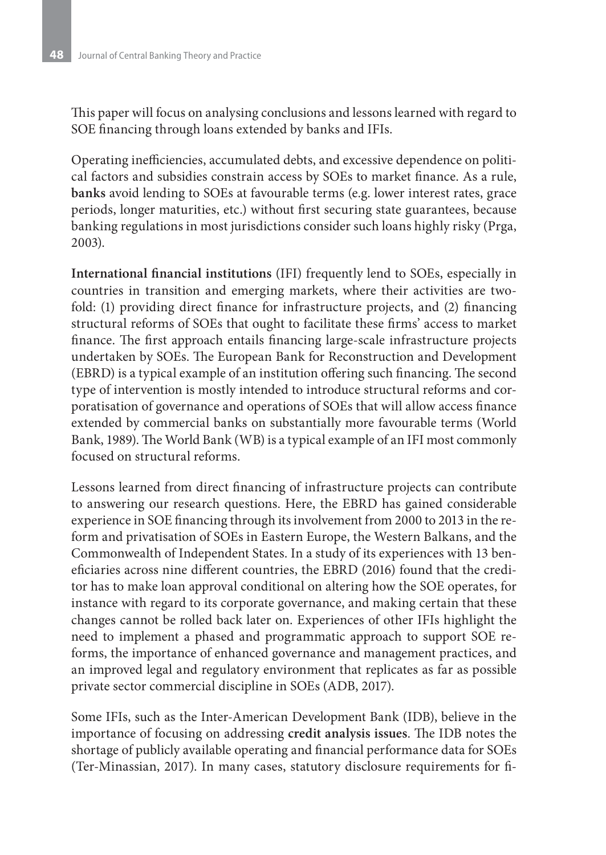This paper will focus on analysing conclusions and lessons learned with regard to SOE financing through loans extended by banks and IFIs.

Operating inefficiencies, accumulated debts, and excessive dependence on political factors and subsidies constrain access by SOEs to market finance. As a rule, **banks** avoid lending to SOEs at favourable terms (e.g. lower interest rates, grace periods, longer maturities, etc.) without first securing state guarantees, because banking regulations in most jurisdictions consider such loans highly risky (Prga, 2003).

**International financial institutions** (IFI) frequently lend to SOEs, especially in countries in transition and emerging markets, where their activities are twofold: (1) providing direct finance for infrastructure projects, and (2) financing structural reforms of SOEs that ought to facilitate these firms' access to market finance. The first approach entails financing large-scale infrastructure projects undertaken by SOEs. The European Bank for Reconstruction and Development (EBRD) is a typical example of an institution offering such financing. The second type of intervention is mostly intended to introduce structural reforms and corporatisation of governance and operations of SOEs that will allow access finance extended by commercial banks on substantially more favourable terms (World Bank, 1989). The World Bank (WB) is a typical example of an IFI most commonly focused on structural reforms.

Lessons learned from direct financing of infrastructure projects can contribute to answering our research questions. Here, the EBRD has gained considerable experience in SOE financing through its involvement from 2000 to 2013 in the reform and privatisation of SOEs in Eastern Europe, the Western Balkans, and the Commonwealth of Independent States. In a study of its experiences with 13 beneficiaries across nine different countries, the EBRD (2016) found that the creditor has to make loan approval conditional on altering how the SOE operates, for instance with regard to its corporate governance, and making certain that these changes cannot be rolled back later on. Experiences of other IFIs highlight the need to implement a phased and programmatic approach to support SOE reforms, the importance of enhanced governance and management practices, and an improved legal and regulatory environment that replicates as far as possible private sector commercial discipline in SOEs (ADB, 2017).

Some IFIs, such as the Inter-American Development Bank (IDB), believe in the importance of focusing on addressing **credit analysis issues**. The IDB notes the shortage of publicly available operating and financial performance data for SOEs (Ter-Minassian, 2017). In many cases, statutory disclosure requirements for fi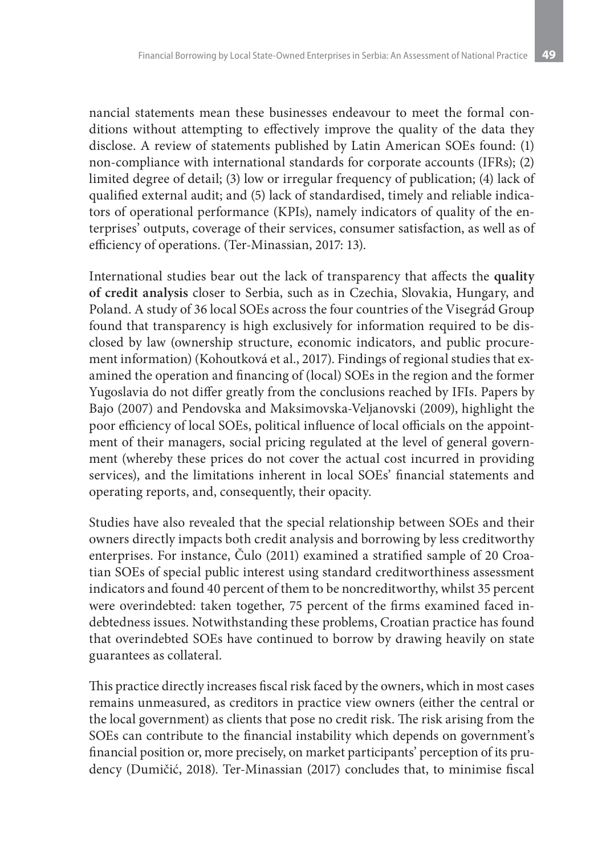nancial statements mean these businesses endeavour to meet the formal conditions without attempting to effectively improve the quality of the data they disclose. A review of statements published by Latin American SOEs found: (1) non-compliance with international standards for corporate accounts (IFRs); (2) limited degree of detail; (3) low or irregular frequency of publication; (4) lack of qualified external audit; and (5) lack of standardised, timely and reliable indicators of operational performance (KPIs), namely indicators of quality of the enterprises' outputs, coverage of their services, consumer satisfaction, as well as of efficiency of operations. (Ter-Minassian, 2017: 13).

International studies bear out the lack of transparency that affects the **quality of credit analysis** closer to Serbia, such as in Czechia, Slovakia, Hungary, and Poland. A study of 36 local SOEs across the four countries of the Visegrád Group found that transparency is high exclusively for information required to be disclosed by law (ownership structure, economic indicators, and public procurement information) (Kohoutková et al., 2017). Findings of regional studies that examined the operation and financing of (local) SOEs in the region and the former Yugoslavia do not differ greatly from the conclusions reached by IFIs. Papers by Bajo (2007) and Pendovska and Maksimovska-Veljanovski (2009), highlight the poor efficiency of local SOEs, political influence of local officials on the appointment of their managers, social pricing regulated at the level of general government (whereby these prices do not cover the actual cost incurred in providing services), and the limitations inherent in local SOEs' financial statements and operating reports, and, consequently, their opacity.

Studies have also revealed that the special relationship between SOEs and their owners directly impacts both credit analysis and borrowing by less creditworthy enterprises. For instance, Čulo (2011) examined a stratified sample of 20 Croatian SOEs of special public interest using standard creditworthiness assessment indicators and found 40 percent of them to be noncreditworthy, whilst 35 percent were overindebted: taken together, 75 percent of the firms examined faced indebtedness issues. Notwithstanding these problems, Croatian practice has found that overindebted SOEs have continued to borrow by drawing heavily on state guarantees as collateral.

This practice directly increases fiscal risk faced by the owners, which in most cases remains unmeasured, as creditors in practice view owners (either the central or the local government) as clients that pose no credit risk. The risk arising from the SOEs can contribute to the financial instability which depends on government's financial position or, more precisely, on market participants' perception of its prudency (Dumičić, 2018). Ter-Minassian (2017) concludes that, to minimise fiscal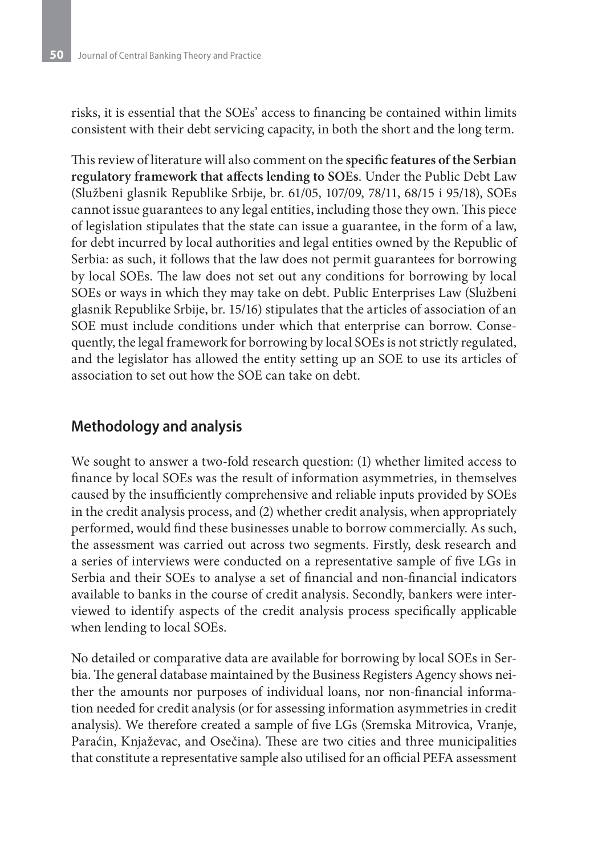risks, it is essential that the SOEs' access to financing be contained within limits consistent with their debt servicing capacity, in both the short and the long term.

This review of literature will also comment on the **specific features of the Serbian regulatory framework that affects lending to SOEs**. Under the Public Debt Law (Službeni glasnik Republike Srbije, br. 61/05, 107/09, 78/11, 68/15 i 95/18), SOEs cannot issue guarantees to any legal entities, including those they own. This piece of legislation stipulates that the state can issue a guarantee, in the form of a law, for debt incurred by local authorities and legal entities owned by the Republic of Serbia: as such, it follows that the law does not permit guarantees for borrowing by local SOEs. The law does not set out any conditions for borrowing by local SOEs or ways in which they may take on debt. Public Enterprises Law (Službeni glasnik Republike Srbije, br. 15/16) stipulates that the articles of association of an SOE must include conditions under which that enterprise can borrow. Consequently, the legal framework for borrowing by local SOEs is not strictly regulated, and the legislator has allowed the entity setting up an SOE to use its articles of association to set out how the SOE can take on debt.

#### **Methodology and analysis**

We sought to answer a two-fold research question: (1) whether limited access to finance by local SOEs was the result of information asymmetries, in themselves caused by the insufficiently comprehensive and reliable inputs provided by SOEs in the credit analysis process, and (2) whether credit analysis, when appropriately performed, would find these businesses unable to borrow commercially. As such, the assessment was carried out across two segments. Firstly, desk research and a series of interviews were conducted on a representative sample of five LGs in Serbia and their SOEs to analyse a set of financial and non-financial indicators available to banks in the course of credit analysis. Secondly, bankers were interviewed to identify aspects of the credit analysis process specifically applicable when lending to local SOEs.

No detailed or comparative data are available for borrowing by local SOEs in Serbia. The general database maintained by the Business Registers Agency shows neither the amounts nor purposes of individual loans, nor non-financial information needed for credit analysis (or for assessing information asymmetries in credit analysis). We therefore created a sample of five LGs (Sremska Mitrovica, Vranje, Paraćin, Knjaževac, and Osečina). These are two cities and three municipalities that constitute a representative sample also utilised for an official PEFA assessment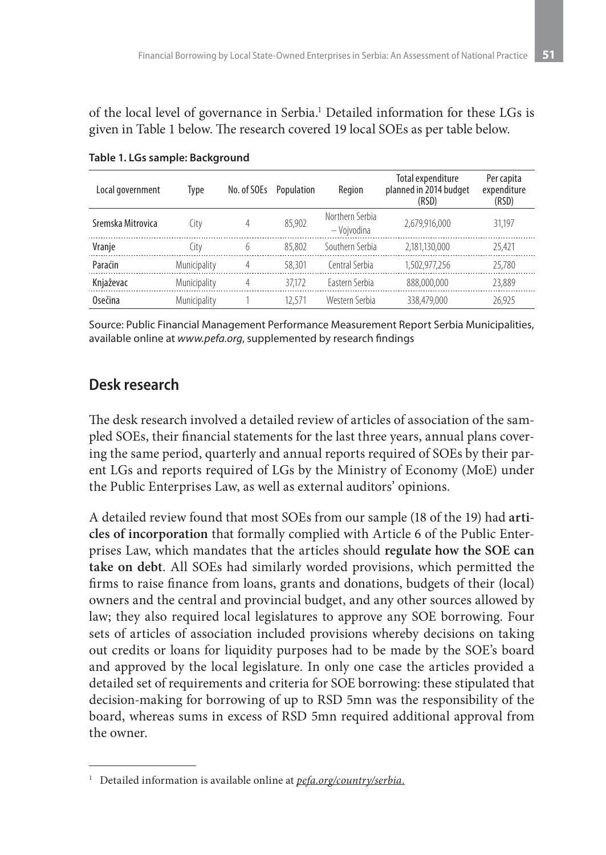of the local level of governance in Serbia.<sup>1</sup> Detailed information for these LGs is given in Table 1 below. The research covered 19 local SOEs as per table below.

| Local government  | Type         | No. of SOEs | Population | Region                         | <b>Total expenditure</b><br>planned in 2014 budget<br>(RSD) | Per capita<br>expenditure<br>(RSD) |
|-------------------|--------------|-------------|------------|--------------------------------|-------------------------------------------------------------|------------------------------------|
| Sremska Mitrovica | City         | 4           | 85.902     | Northern Serbia<br>- Vojvodina | 2,679,916,000                                               | 31.197                             |
| Vranje            | Citv         | 6           | 85,802     | Southern Serbia                | 2.181.130.000                                               | 25.421                             |
| Paraćin           | Municipality | 4           | 58,301     | Central Serbia                 | 1.502.977.256                                               | 25,780                             |
| Knjaževac         | Municipality | 4           | 37.172     | Fastern Serbia                 | 888,000,000                                                 | 23,889                             |
| Osečina           | Municipality |             | 12.571     | Western Serbia                 | 338,479,000                                                 | 26.925                             |

**Table 1. LGs sample: Background**

Source: Public Financial Management Performance Measurement Report Serbia Municipalities, available online at *www.pefa.org*, supplemented by research findings

## **Desk research**

The desk research involved a detailed review of articles of association of the sampled SOEs, their financial statements for the last three years, annual plans covering the same period, quarterly and annual reports required of SOEs by their parent LGs and reports required of LGs by the Ministry of Economy (MoE) under the Public Enterprises Law, as well as external auditors' opinions.

A detailed review found that most SOEs from our sample (18 of the 19) had **articles of incorporation** that formally complied with Article 6 of the Public Enterprises Law, which mandates that the articles should **regulate how the SOE can take on debt**. All SOEs had similarly worded provisions, which permitted the firms to raise finance from loans, grants and donations, budgets of their (local) owners and the central and provincial budget, and any other sources allowed by law; they also required local legislatures to approve any SOE borrowing. Four sets of articles of association included provisions whereby decisions on taking out credits or loans for liquidity purposes had to be made by the SOE's board and approved by the local legislature. In only one case the articles provided a detailed set of requirements and criteria for SOE borrowing: these stipulated that decision-making for borrowing of up to RSD 5mn was the responsibility of the board, whereas sums in excess of RSD 5mn required additional approval from the owner.

<sup>1</sup> Detailed information is available online at *pefa.org/country/serbia*.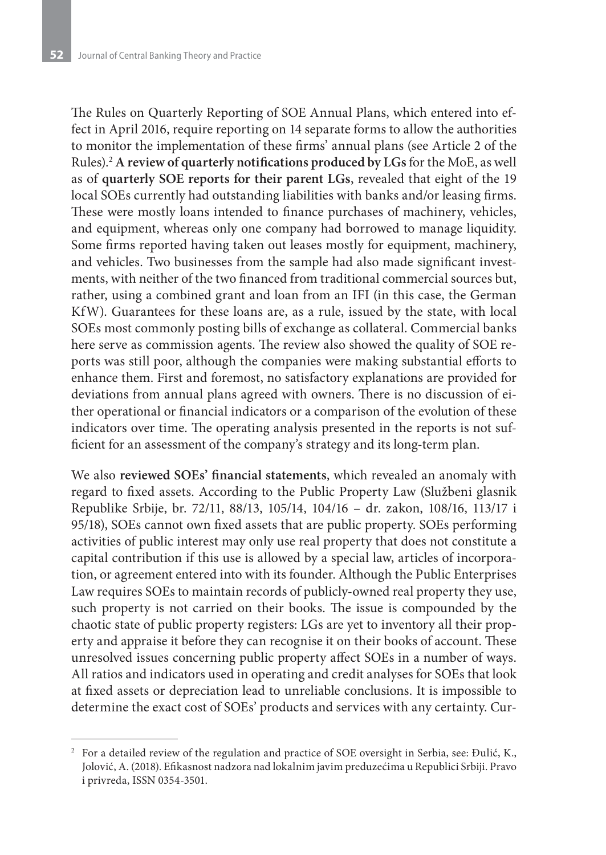The Rules on Quarterly Reporting of SOE Annual Plans, which entered into effect in April 2016, require reporting on 14 separate forms to allow the authorities to monitor the implementation of these firms' annual plans (see Article 2 of the Rules).2 **A review of quarterly notifications produced by LGs** for the MoE, as well as of **quarterly SOE reports for their parent LGs**, revealed that eight of the 19 local SOEs currently had outstanding liabilities with banks and/or leasing firms. These were mostly loans intended to finance purchases of machinery, vehicles, and equipment, whereas only one company had borrowed to manage liquidity. Some firms reported having taken out leases mostly for equipment, machinery, and vehicles. Two businesses from the sample had also made significant investments, with neither of the two financed from traditional commercial sources but, rather, using a combined grant and loan from an IFI (in this case, the German KfW). Guarantees for these loans are, as a rule, issued by the state, with local SOEs most commonly posting bills of exchange as collateral. Commercial banks here serve as commission agents. The review also showed the quality of SOE reports was still poor, although the companies were making substantial efforts to enhance them. First and foremost, no satisfactory explanations are provided for deviations from annual plans agreed with owners. There is no discussion of either operational or financial indicators or a comparison of the evolution of these indicators over time. The operating analysis presented in the reports is not sufficient for an assessment of the company's strategy and its long-term plan.

We also **reviewed SOEs' financial statements**, which revealed an anomaly with regard to fixed assets. According to the Public Property Law (Službeni glasnik Republike Srbije, br. 72/11, 88/13, 105/14, 104/16 – dr. zakon, 108/16, 113/17 i 95/18), SOEs cannot own fixed assets that are public property. SOEs performing activities of public interest may only use real property that does not constitute a capital contribution if this use is allowed by a special law, articles of incorporation, or agreement entered into with its founder. Although the Public Enterprises Law requires SOEs to maintain records of publicly-owned real property they use, such property is not carried on their books. The issue is compounded by the chaotic state of public property registers: LGs are yet to inventory all their property and appraise it before they can recognise it on their books of account. These unresolved issues concerning public property affect SOEs in a number of ways. All ratios and indicators used in operating and credit analyses for SOEs that look at fixed assets or depreciation lead to unreliable conclusions. It is impossible to determine the exact cost of SOEs' products and services with any certainty. Cur-

<sup>&</sup>lt;sup>2</sup> For a detailed review of the regulation and practice of SOE oversight in Serbia, see: Đulić, K., Jolović, A. (2018). Efikasnost nadzora nad lokalnim javim preduzećima u Republici Srbiji. Pravo i privreda, ISSN 0354-3501.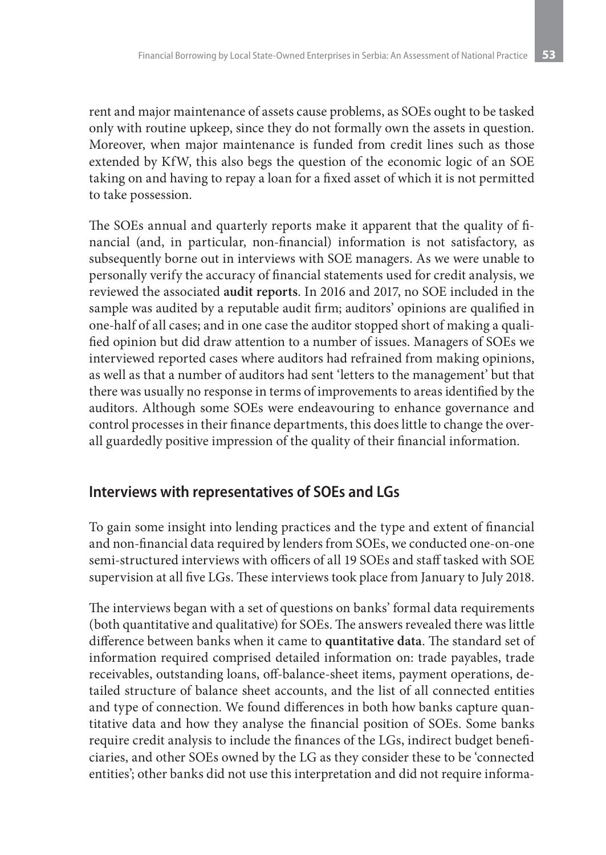rent and major maintenance of assets cause problems, as SOEs ought to be tasked only with routine upkeep, since they do not formally own the assets in question. Moreover, when major maintenance is funded from credit lines such as those extended by KfW, this also begs the question of the economic logic of an SOE taking on and having to repay a loan for a fixed asset of which it is not permitted to take possession.

The SOEs annual and quarterly reports make it apparent that the quality of financial (and, in particular, non-financial) information is not satisfactory, as subsequently borne out in interviews with SOE managers. As we were unable to personally verify the accuracy of financial statements used for credit analysis, we reviewed the associated **audit reports**. In 2016 and 2017, no SOE included in the sample was audited by a reputable audit firm; auditors' opinions are qualified in one-half of all cases; and in one case the auditor stopped short of making a qualified opinion but did draw attention to a number of issues. Managers of SOEs we interviewed reported cases where auditors had refrained from making opinions, as well as that a number of auditors had sent 'letters to the management' but that there was usually no response in terms of improvements to areas identified by the auditors. Although some SOEs were endeavouring to enhance governance and control processes in their finance departments, this does little to change the overall guardedly positive impression of the quality of their financial information.

#### **Interviews with representatives of SOEs and LGs**

To gain some insight into lending practices and the type and extent of financial and non-financial data required by lenders from SOEs, we conducted one-on-one semi-structured interviews with officers of all 19 SOEs and staff tasked with SOE supervision at all five LGs. These interviews took place from January to July 2018.

The interviews began with a set of questions on banks' formal data requirements (both quantitative and qualitative) for SOEs. The answers revealed there was little difference between banks when it came to **quantitative data**. The standard set of information required comprised detailed information on: trade payables, trade receivables, outstanding loans, off-balance-sheet items, payment operations, detailed structure of balance sheet accounts, and the list of all connected entities and type of connection. We found differences in both how banks capture quantitative data and how they analyse the financial position of SOEs. Some banks require credit analysis to include the finances of the LGs, indirect budget beneficiaries, and other SOEs owned by the LG as they consider these to be 'connected entities'; other banks did not use this interpretation and did not require informa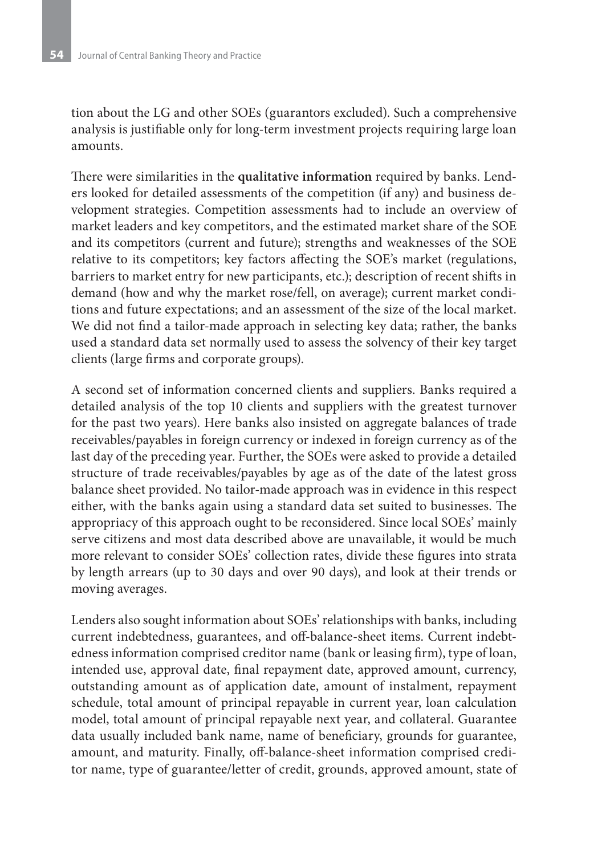tion about the LG and other SOEs (guarantors excluded). Such a comprehensive analysis is justifiable only for long-term investment projects requiring large loan amounts.

There were similarities in the **qualitative information** required by banks. Lenders looked for detailed assessments of the competition (if any) and business development strategies. Competition assessments had to include an overview of market leaders and key competitors, and the estimated market share of the SOE and its competitors (current and future); strengths and weaknesses of the SOE relative to its competitors; key factors affecting the SOE's market (regulations, barriers to market entry for new participants, etc.); description of recent shifts in demand (how and why the market rose/fell, on average); current market conditions and future expectations; and an assessment of the size of the local market. We did not find a tailor-made approach in selecting key data; rather, the banks used a standard data set normally used to assess the solvency of their key target clients (large firms and corporate groups).

A second set of information concerned clients and suppliers. Banks required a detailed analysis of the top 10 clients and suppliers with the greatest turnover for the past two years). Here banks also insisted on aggregate balances of trade receivables/payables in foreign currency or indexed in foreign currency as of the last day of the preceding year. Further, the SOEs were asked to provide a detailed structure of trade receivables/payables by age as of the date of the latest gross balance sheet provided. No tailor-made approach was in evidence in this respect either, with the banks again using a standard data set suited to businesses. The appropriacy of this approach ought to be reconsidered. Since local SOEs' mainly serve citizens and most data described above are unavailable, it would be much more relevant to consider SOEs' collection rates, divide these figures into strata by length arrears (up to 30 days and over 90 days), and look at their trends or moving averages.

Lenders also sought information about SOEs' relationships with banks, including current indebtedness, guarantees, and off-balance-sheet items. Current indebtedness information comprised creditor name (bank or leasing firm), type of loan, intended use, approval date, final repayment date, approved amount, currency, outstanding amount as of application date, amount of instalment, repayment schedule, total amount of principal repayable in current year, loan calculation model, total amount of principal repayable next year, and collateral. Guarantee data usually included bank name, name of beneficiary, grounds for guarantee, amount, and maturity. Finally, off-balance-sheet information comprised creditor name, type of guarantee/letter of credit, grounds, approved amount, state of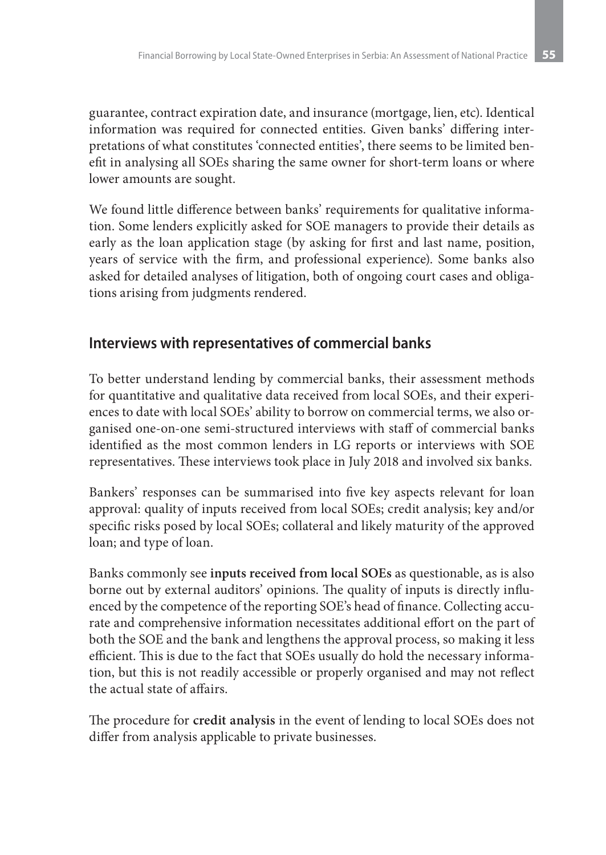guarantee, contract expiration date, and insurance (mortgage, lien, etc). Identical information was required for connected entities. Given banks' differing interpretations of what constitutes 'connected entities', there seems to be limited benefit in analysing all SOEs sharing the same owner for short-term loans or where lower amounts are sought.

We found little difference between banks' requirements for qualitative information. Some lenders explicitly asked for SOE managers to provide their details as early as the loan application stage (by asking for first and last name, position, years of service with the firm, and professional experience). Some banks also asked for detailed analyses of litigation, both of ongoing court cases and obligations arising from judgments rendered.

### **Interviews with representatives of commercial banks**

To better understand lending by commercial banks, their assessment methods for quantitative and qualitative data received from local SOEs, and their experiences to date with local SOEs' ability to borrow on commercial terms, we also organised one-on-one semi-structured interviews with staff of commercial banks identified as the most common lenders in LG reports or interviews with SOE representatives. These interviews took place in July 2018 and involved six banks.

Bankers' responses can be summarised into five key aspects relevant for loan approval: quality of inputs received from local SOEs; credit analysis; key and/or specific risks posed by local SOEs; collateral and likely maturity of the approved loan; and type of loan.

Banks commonly see **inputs received from local SOEs** as questionable, as is also borne out by external auditors' opinions. The quality of inputs is directly influenced by the competence of the reporting SOE's head of finance. Collecting accurate and comprehensive information necessitates additional effort on the part of both the SOE and the bank and lengthens the approval process, so making it less efficient. This is due to the fact that SOEs usually do hold the necessary information, but this is not readily accessible or properly organised and may not reflect the actual state of affairs.

The procedure for **credit analysis** in the event of lending to local SOEs does not differ from analysis applicable to private businesses.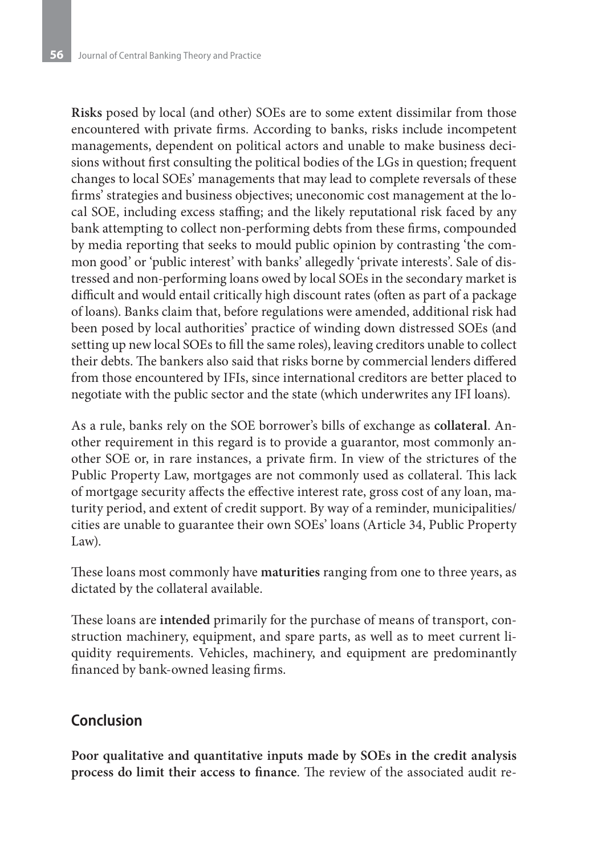**Risks** posed by local (and other) SOEs are to some extent dissimilar from those encountered with private firms. According to banks, risks include incompetent managements, dependent on political actors and unable to make business decisions without first consulting the political bodies of the LGs in question; frequent changes to local SOEs' managements that may lead to complete reversals of these firms' strategies and business objectives; uneconomic cost management at the local SOE, including excess staffing; and the likely reputational risk faced by any bank attempting to collect non-performing debts from these firms, compounded by media reporting that seeks to mould public opinion by contrasting 'the common good' or 'public interest' with banks' allegedly 'private interests'. Sale of distressed and non-performing loans owed by local SOEs in the secondary market is difficult and would entail critically high discount rates (often as part of a package of loans). Banks claim that, before regulations were amended, additional risk had been posed by local authorities' practice of winding down distressed SOEs (and setting up new local SOEs to fill the same roles), leaving creditors unable to collect their debts. The bankers also said that risks borne by commercial lenders differed from those encountered by IFIs, since international creditors are better placed to negotiate with the public sector and the state (which underwrites any IFI loans).

As a rule, banks rely on the SOE borrower's bills of exchange as **collateral**. Another requirement in this regard is to provide a guarantor, most commonly another SOE or, in rare instances, a private firm. In view of the strictures of the Public Property Law, mortgages are not commonly used as collateral. This lack of mortgage security affects the effective interest rate, gross cost of any loan, maturity period, and extent of credit support. By way of a reminder, municipalities/ cities are unable to guarantee their own SOEs' loans (Article 34, Public Property Law).

These loans most commonly have **maturities** ranging from one to three years, as dictated by the collateral available.

These loans are **intended** primarily for the purchase of means of transport, construction machinery, equipment, and spare parts, as well as to meet current liquidity requirements. Vehicles, machinery, and equipment are predominantly financed by bank-owned leasing firms.

### **Conclusion**

**Poor qualitative and quantitative inputs made by SOEs in the credit analysis process do limit their access to finance**. The review of the associated audit re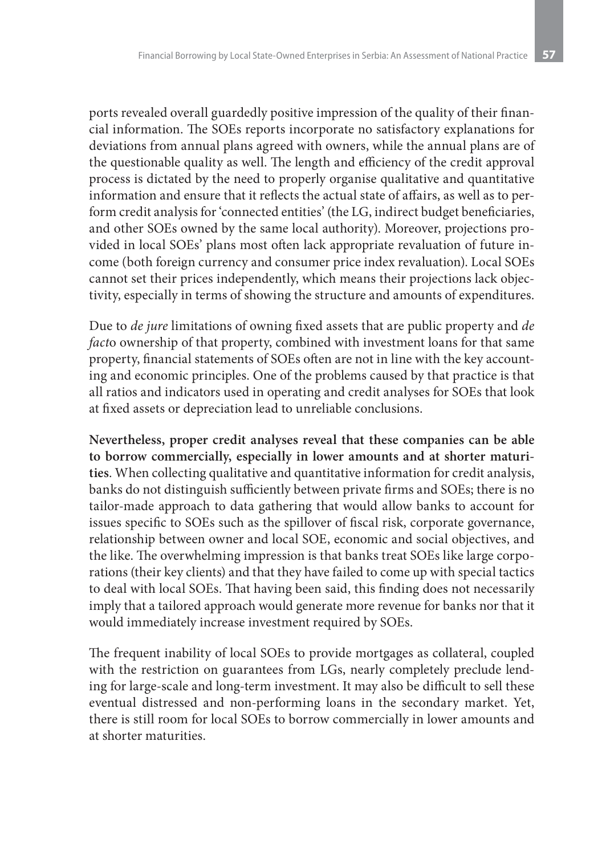ports revealed overall guardedly positive impression of the quality of their financial information. The SOEs reports incorporate no satisfactory explanations for deviations from annual plans agreed with owners, while the annual plans are of the questionable quality as well. The length and efficiency of the credit approval process is dictated by the need to properly organise qualitative and quantitative information and ensure that it reflects the actual state of affairs, as well as to perform credit analysis for 'connected entities' (the LG, indirect budget beneficiaries, and other SOEs owned by the same local authority). Moreover, projections provided in local SOEs' plans most often lack appropriate revaluation of future income (both foreign currency and consumer price index revaluation). Local SOEs cannot set their prices independently, which means their projections lack objectivity, especially in terms of showing the structure and amounts of expenditures.

Due to *de jure* limitations of owning fixed assets that are public property and *de fact*o ownership of that property, combined with investment loans for that same property, financial statements of SOEs often are not in line with the key accounting and economic principles. One of the problems caused by that practice is that all ratios and indicators used in operating and credit analyses for SOEs that look at fixed assets or depreciation lead to unreliable conclusions.

**Nevertheless, proper credit analyses reveal that these companies can be able to borrow commercially, especially in lower amounts and at shorter maturities**. When collecting qualitative and quantitative information for credit analysis, banks do not distinguish sufficiently between private firms and SOEs; there is no tailor-made approach to data gathering that would allow banks to account for issues specific to SOEs such as the spillover of fiscal risk, corporate governance, relationship between owner and local SOE, economic and social objectives, and the like. The overwhelming impression is that banks treat SOEs like large corporations (their key clients) and that they have failed to come up with special tactics to deal with local SOEs. That having been said, this finding does not necessarily imply that a tailored approach would generate more revenue for banks nor that it would immediately increase investment required by SOEs.

The frequent inability of local SOEs to provide mortgages as collateral, coupled with the restriction on guarantees from LGs, nearly completely preclude lending for large-scale and long-term investment. It may also be difficult to sell these eventual distressed and non-performing loans in the secondary market. Yet, there is still room for local SOEs to borrow commercially in lower amounts and at shorter maturities.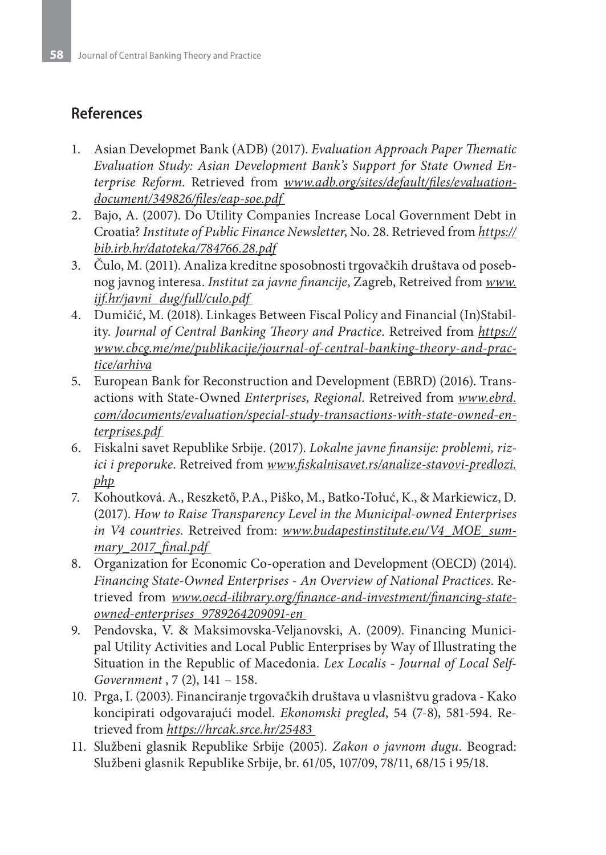## **References**

- 1. Asian Developmet Bank (ADB) (2017). *Evaluation Approach Paper Thematic Evaluation Study: Asian Development Bank's Support for State Owned Enterprise Reform*. Retrieved from *www.adb.org/sites/default/files/evaluationdocument/349826/files/eap-soe.pdf*
- 2. Bajo, A. (2007). Do Utility Companies Increase Local Government Debt in Croatia? *Institute of Public Finance Newsletter*, No. 28. Retrieved from *https:// bib.irb.hr/datoteka/784766.28.pdf*
- 3. Čulo, M. (2011). Analiza kreditne sposobnosti trgovačkih društava od posebnog javnog interesa. *Institut za javne financije*, Zagreb, Retreived from *www. ijf.hr/javni\_dug/full/culo.pdf*
- 4. Dumičić, M. (2018). Linkages Between Fiscal Policy and Financial (In)Stability. *Journal of Central Banking Theory and Practice*. Retreived from *https:// www.cbcg.me/me/publikacije/journal-of-central-banking-theory-and-practice/arhiva*
- 5. European Bank for Reconstruction and Development (EBRD) (2016). Transactions with State-Owned *Enterprises, Regional*. Retreived from *www.ebrd. com/documents/evaluation/special-study-transactions-with-state-owned-enterprises.pdf*
- 6. Fiskalni savet Republike Srbije. (2017). *Lokalne javne finansije: problemi, rizici i preporuke*. Retreived from *www.fiskalnisavet.rs/analize-stavovi-predlozi. php*
- 7. Kohoutková. A., Reszkető, P.A., Piško, M., Batko-Tołuć, K., & Markiewicz, D. (2017). *How to Raise Transparency Level in the Municipal-owned Enterprises in V4 countries*. Retreived from: *www.budapestinstitute.eu/V4\_MOE\_summary\_2017\_final.pdf*
- 8. Organization for Economic Co-operation and Development (OECD) (2014). *Financing State-Owned Enterprises - An Overview of National Practices*. Retrieved from *www.oecd-ilibrary.org/finance-and-investment/financing-stateowned-enterprises\_9789264209091-en*
- 9. Pendovska, V. & Maksimovska-Veljanovski, A. (2009). Financing Municipal Utility Activities and Local Public Enterprises by Way of Illustrating the Situation in the Republic of Macedonia. *Lex Localis - Journal of Local Self-Government* , 7 (2), 141 – 158.
- 10. Prga, I. (2003). Financiranje trgovačkih društava u vlasništvu gradova Kako koncipirati odgovarajući model. *Ekonomski pregled*, 54 (7-8), 581-594. Retrieved from *https://hrcak.srce.hr/25483*
- 11. Službeni glasnik Republike Srbije (2005). *Zakon o javnom dugu*. Beograd: Službeni glasnik Republike Srbije, br. 61/05, 107/09, 78/11, 68/15 i 95/18.